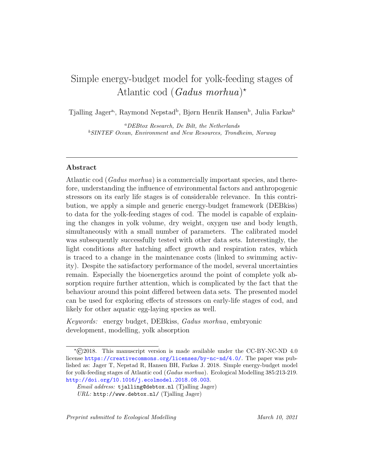# Simple energy-budget model for yolk-feeding stages of Atlantic cod (Gadus morhua)<sup>\*</sup>

Tjalling Jager<sup>a</sup>, Raymond Nepstad<sup>b</sup>, Bjørn Henrik Hansen<sup>b</sup>, Julia Farkas<sup>b</sup>

<sup>a</sup>DEBtox Research, De Bilt, the Netherlands <sup>b</sup>SINTEF Ocean, Environment and New Resources, Trondheim, Norway

# Abstract

Atlantic cod (Gadus morhua) is a commercially important species, and therefore, understanding the influence of environmental factors and anthropogenic stressors on its early life stages is of considerable relevance. In this contribution, we apply a simple and generic energy-budget framework (DEBkiss) to data for the yolk-feeding stages of cod. The model is capable of explaining the changes in yolk volume, dry weight, oxygen use and body length, simultaneously with a small number of parameters. The calibrated model was subsequently successfully tested with other data sets. Interestingly, the light conditions after hatching affect growth and respiration rates, which is traced to a change in the maintenance costs (linked to swimming activity). Despite the satisfactory performance of the model, several uncertainties remain. Especially the bioenergetics around the point of complete yolk absorption require further attention, which is complicated by the fact that the behaviour around this point differed between data sets. The presented model can be used for exploring effects of stressors on early-life stages of cod, and likely for other aquatic egg-laying species as well.

Keywords: energy budget, DEBkiss, Gadus morhua, embryonic development, modelling, yolk absorption

<sup>?</sup>©2018. This manuscript version is made available under the CC-BY-NC-ND 4.0 license <https://creativecommons.org/licenses/by-nc-nd/4.0/>. The paper was published as: Jager T, Nepstad R, Hansen BH, Farkas J. 2018. Simple energy-budget model for yolk-feeding stages of Atlantic cod (Gadus morhua). Ecological Modelling 385:213-219. <http://doi.org/10.1016/j.ecolmodel.2018.08.003>.

Email address: tjalling@debtox.nl (Tjalling Jager) URL: http://www.debtox.nl/ (Tjalling Jager)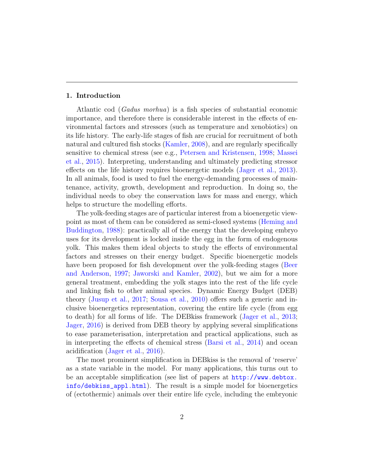## 1. Introduction

Atlantic cod (Gadus morhua) is a fish species of substantial economic importance, and therefore there is considerable interest in the effects of environmental factors and stressors (such as temperature and xenobiotics) on its life history. The early-life stages of fish are crucial for recruitment of both natural and cultured fish stocks [\(Kamler,](#page-18-0) [2008\)](#page-18-0), and are regularly specifically sensitive to chemical stress (see e.g., [Petersen and Kristensen,](#page-19-0) [1998;](#page-19-0) [Massei](#page-18-1) [et al.,](#page-18-1) [2015\)](#page-18-1). Interpreting, understanding and ultimately predicting stressor effects on the life history requires bioenergetic models [\(Jager et al.,](#page-18-2) [2013\)](#page-18-2). In all animals, food is used to fuel the energy-demanding processes of maintenance, activity, growth, development and reproduction. In doing so, the individual needs to obey the conservation laws for mass and energy, which helps to structure the modelling efforts.

The yolk-feeding stages are of particular interest from a bioenergetic viewpoint as most of them can be considered as semi-closed systems [\(Heming and](#page-17-0) [Buddington,](#page-17-0) [1988\)](#page-17-0): practically all of the energy that the developing embryo uses for its development is locked inside the egg in the form of endogenous yolk. This makes them ideal objects to study the effects of environmental factors and stresses on their energy budget. Specific bioenergetic models have been proposed for fish development over the yolk-feeding stages [\(Beer](#page-17-1) [and Anderson,](#page-17-1) [1997;](#page-17-1) [Jaworski and Kamler,](#page-18-3) [2002\)](#page-18-3), but we aim for a more general treatment, embedding the yolk stages into the rest of the life cycle and linking fish to other animal species. Dynamic Energy Budget (DEB) theory [\(Jusup et al.,](#page-18-4) [2017;](#page-18-4) [Sousa et al.,](#page-19-1) [2010\)](#page-19-1) offers such a generic and inclusive bioenergetics representation, covering the entire life cycle (from egg to death) for all forms of life. The DEBkiss framework [\(Jager et al.,](#page-18-2) [2013;](#page-18-2) [Jager,](#page-18-5) [2016\)](#page-18-5) is derived from DEB theory by applying several simplifications to ease parameterisation, interpretation and practical applications, such as in interpreting the effects of chemical stress [\(Barsi et al.,](#page-16-0) [2014\)](#page-16-0) and ocean acidification [\(Jager et al.,](#page-18-6) [2016\)](#page-18-6).

The most prominent simplification in DEBkiss is the removal of 'reserve' as a state variable in the model. For many applications, this turns out to be an acceptable simplification (see list of papers at [http://www.debtox.](http://www.debtox.info/debkiss_appl.html) [info/debkiss\\_appl.html](http://www.debtox.info/debkiss_appl.html)). The result is a simple model for bioenergetics of (ectothermic) animals over their entire life cycle, including the embryonic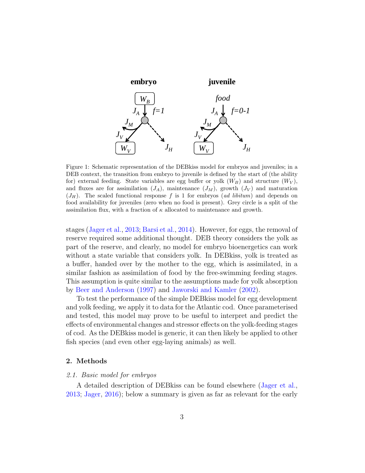

<span id="page-2-0"></span>and fluxes are for assimilation  $(J_A)$ , maintenance  $(J_M)$ , growth  $(J_V)$  and maturation food availability for juveniles (zero when no food is present). Grey circle is a split of the assimilation flux, with a fraction of  $\kappa$  allocated to maintenance and growth. Figure 1: Schematic representation of the DEBkiss model for embryos and juveniles; in a DEB context, the transition from embryo to juvenile is defined by the start of (the ability for) external feeding. State variables are egg buffer or yolk  $(W_B)$  and structure  $(W_V)$ ,  $(J_H)$ . The scaled functional response f is 1 for embryos (ad libitum) and depends on

stages [\(Jager et al.,](#page-18-2) [2013;](#page-18-2) [Barsi et al.,](#page-16-0) [2014\)](#page-16-0). However, for eggs, the removal of reserve required some additional thought. DEB theory considers the yolk as part of the reserve, and clearly, no model for embryo bioenergetics can work without a state variable that considers yolk. In DEBkiss, yolk is treated as a buffer, handed over by the mother to the egg, which is assimilated, in a similar fashion as assimilation of food by the free-swimming feeding stages. This assumption is quite similar to the assumptions made for yolk absorption by [Beer and Anderson](#page-17-1) [\(1997\)](#page-17-1) and [Jaworski and Kamler](#page-18-3) [\(2002\)](#page-18-3).

To test the performance of the simple DEBkiss model for egg development and yolk feeding, we apply it to data for the Atlantic cod. Once parameterised and tested, this model may prove to be useful to interpret and predict the effects of environmental changes and stressor effects on the yolk-feeding stages of cod. As the DEBkiss model is generic, it can then likely be applied to other fish species (and even other egg-laying animals) as well.

# 2. Methods

## 2.1. Basic model for embryos

A detailed description of DEBkiss can be found elsewhere [\(Jager et al.,](#page-18-2) [2013;](#page-18-2) [Jager,](#page-18-5) [2016\)](#page-18-5); below a summary is given as far as relevant for the early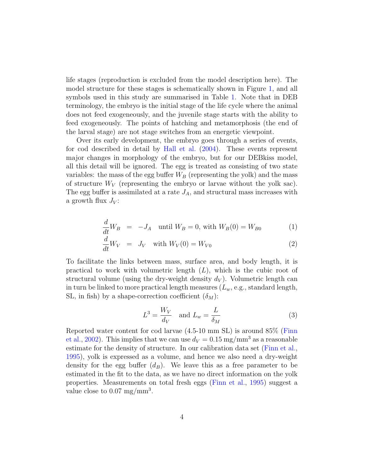life stages (reproduction is excluded from the model description here). The model structure for these stages is schematically shown in Figure [1,](#page-2-0) and all symbols used in this study are summarised in Table [1.](#page-8-0) Note that in DEB terminology, the embryo is the initial stage of the life cycle where the animal does not feed exogeneously, and the juvenile stage starts with the ability to feed exogeneously. The points of hatching and metamorphosis (the end of the larval stage) are not stage switches from an energetic viewpoint.

Over its early development, the embryo goes through a series of events, for cod described in detail by [Hall et al.](#page-17-2) [\(2004\)](#page-17-2). These events represent major changes in morphology of the embryo, but for our DEBkiss model, all this detail will be ignored. The egg is treated as consisting of two state variables: the mass of the egg buffer  $W_B$  (representing the yolk) and the mass of structure  $W_V$  (representing the embryo or larvae without the yolk sac). The egg buffer is assimilated at a rate  $J_A$ , and structural mass increases with a growth flux  $J_V$ :

$$
\frac{d}{dt}W_B = -J_A \quad \text{until } W_B = 0 \text{, with } W_B(0) = W_{B0} \tag{1}
$$

$$
\frac{d}{dt}W_V = J_V \quad \text{with } W_V(0) = W_{V0}
$$
\n(2)

To facilitate the links between mass, surface area, and body length, it is practical to work with volumetric length  $(L)$ , which is the cubic root of structural volume (using the dry-weight density  $d_V$ ). Volumetric length can in turn be linked to more practical length measures  $(L_w, e.g., standard$  length, SL, in fish) by a shape-correction coefficient  $(\delta_M)$ :

$$
L^3 = \frac{W_V}{d_V} \quad \text{and } L_w = \frac{L}{\delta_M} \tag{3}
$$

Reported water content for cod larvae (4.5-10 mm SL) is around 85% [\(Finn](#page-17-3) [et al.,](#page-17-3) [2002\)](#page-17-3). This implies that we can use  $d_V = 0.15$  mg/mm<sup>3</sup> as a reasonable estimate for the density of structure. In our calibration data set [\(Finn et al.,](#page-17-4) [1995\)](#page-17-4), yolk is expressed as a volume, and hence we also need a dry-weight density for the egg buffer  $(d_B)$ . We leave this as a free parameter to be estimated in the fit to the data, as we have no direct information on the yolk properties. Measurements on total fresh eggs [\(Finn et al.,](#page-17-4) [1995\)](#page-17-4) suggest a value close to  $0.07 \text{ mg/mm}^3$ .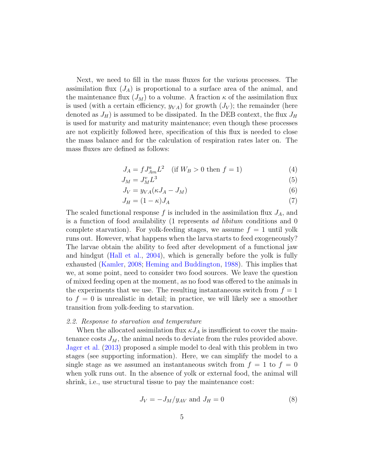Next, we need to fill in the mass fluxes for the various processes. The assimilation flux  $(J_A)$  is proportional to a surface area of the animal, and the maintenance flux  $(J_M)$  to a volume. A fraction  $\kappa$  of the assimilation flux is used (with a certain efficiency,  $y_{VA}$ ) for growth  $(J_V)$ ; the remainder (here denoted as  $J_H$ ) is assumed to be dissipated. In the DEB context, the flux  $J_H$ is used for maturity and maturity maintenance; even though these processes are not explicitly followed here, specification of this flux is needed to close the mass balance and for the calculation of respiration rates later on. The mass fluxes are defined as follows:

$$
J_A = f J_{Am}^a L^2 \quad \text{(if } W_B > 0 \text{ then } f = 1\text{)}\tag{4}
$$

$$
J_M = J_M^v L^3 \tag{5}
$$

$$
J_V = y_{VA}(\kappa J_A - J_M) \tag{6}
$$

$$
J_H = (1 - \kappa)J_A \tag{7}
$$

The scaled functional response f is included in the assimilation flux  $J_A$ , and is a function of food availability (1 represents ad libitum conditions and 0 complete starvation). For yolk-feeding stages, we assume  $f = 1$  until yolk runs out. However, what happens when the larva starts to feed exogeneously? The larvae obtain the ability to feed after development of a functional jaw and hindgut [\(Hall et al.,](#page-17-2) [2004\)](#page-17-2), which is generally before the yolk is fully exhausted [\(Kamler,](#page-18-0) [2008;](#page-18-0) [Heming and Buddington,](#page-17-0) [1988\)](#page-17-0). This implies that we, at some point, need to consider two food sources. We leave the question of mixed feeding open at the moment, as no food was offered to the animals in the experiments that we use. The resulting instantaneous switch from  $f = 1$ to  $f = 0$  is unrealistic in detail; in practice, we will likely see a smoother transition from yolk-feeding to starvation.

# 2.2. Response to starvation and temperature

When the allocated assimilation flux  $\kappa J_A$  is insufficient to cover the maintenance costs  $J_M$ , the animal needs to deviate from the rules provided above. [Jager et al.](#page-18-2) [\(2013\)](#page-18-2) proposed a simple model to deal with this problem in two stages (see supporting information). Here, we can simplify the model to a single stage as we assumed an instantaneous switch from  $f = 1$  to  $f = 0$ when yolk runs out. In the absence of yolk or external food, the animal will shrink, i.e., use structural tissue to pay the maintenance cost:

$$
J_V = -J_M/y_{AV} \text{ and } J_H = 0 \tag{8}
$$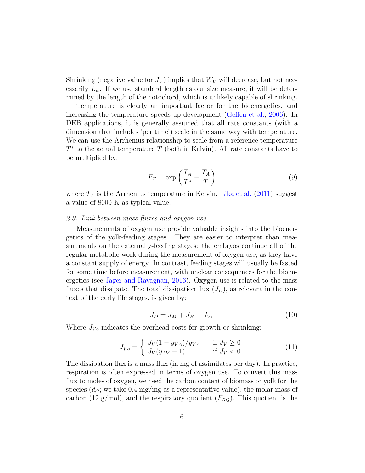Shrinking (negative value for  $J_V$ ) implies that  $W_V$  will decrease, but not necessarily  $L_w$ . If we use standard length as our size measure, it will be determined by the length of the notochord, which is unlikely capable of shrinking.

Temperature is clearly an important factor for the bioenergetics, and increasing the temperature speeds up development [\(Geffen et al.,](#page-17-5) [2006\)](#page-17-5). In DEB applications, it is generally assumed that all rate constants (with a dimension that includes 'per time') scale in the same way with temperature. We can use the Arrhenius relationship to scale from a reference temperature  $T^*$  to the actual temperature  $T$  (both in Kelvin). All rate constants have to be multiplied by:

$$
F_T = \exp\left(\frac{T_A}{T^*} - \frac{T_A}{T}\right) \tag{9}
$$

<span id="page-5-0"></span>where  $T_A$  is the Arrhenius temperature in Kelvin. [Lika et al.](#page-18-7) [\(2011\)](#page-18-7) suggest a value of 8000 K as typical value.

# 2.3. Link between mass fluxes and oxygen use

Measurements of oxygen use provide valuable insights into the bioenergetics of the yolk-feeding stages. They are easier to interpret than measurements on the externally-feeding stages: the embryos continue all of the regular metabolic work during the measurement of oxygen use, as they have a constant supply of energy. In contrast, feeding stages will usually be fasted for some time before measurement, with unclear consequences for the bioenergetics (see [Jager and Ravagnan,](#page-18-8) [2016\)](#page-18-8). Oxygen use is related to the mass fluxes that dissipate. The total dissipation flux  $(J_D)$ , as relevant in the context of the early life stages, is given by:

$$
J_D = J_M + J_H + J_{Vo} \tag{10}
$$

<span id="page-5-1"></span>Where  $J_{V<sub>o</sub>}$  indicates the overhead costs for growth or shrinking:

$$
J_{V_o} = \begin{cases} J_V(1 - y_{VA})/y_{VA} & \text{if } J_V \ge 0\\ J_V(y_{AV} - 1) & \text{if } J_V < 0 \end{cases}
$$
(11)

The dissipation flux is a mass flux (in mg of assimilates per day). In practice, respiration is often expressed in terms of oxygen use. To convert this mass flux to moles of oxygen, we need the carbon content of biomass or yolk for the species  $(d_C;$  we take 0.4 mg/mg as a representative value), the molar mass of carbon (12 g/mol), and the respiratory quotient  $(F_{RQ})$ . This quotient is the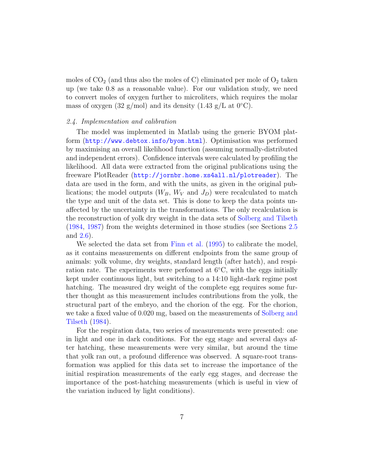moles of  $CO<sub>2</sub>$  (and thus also the moles of C) eliminated per mole of  $O<sub>2</sub>$  taken up (we take 0.8 as a reasonable value). For our validation study, we need to convert moles of oxygen further to microliters, which requires the molar mass of oxygen (32 g/mol) and its density (1.43 g/L at  $0^{\circ}$ C).

# 2.4. Implementation and calibration

The model was implemented in Matlab using the generic BYOM platform (<http://www.debtox.info/byom.html>). Optimisation was performed by maximising an overall likelihood function (assuming normally-distributed and independent errors). Confidence intervals were calculated by profiling the likelihood. All data were extracted from the original publications using the freeware PlotReader (<http://jornbr.home.xs4all.nl/plotreader>). The data are used in the form, and with the units, as given in the original publications; the model outputs  $(W_B, W_V \text{ and } J_D)$  were recalculated to match the type and unit of the data set. This is done to keep the data points unaffected by the uncertainty in the transformations. The only recalculation is the reconstruction of yolk dry weight in the data sets of [Solberg and Tilseth](#page-19-2) [\(1984,](#page-19-2) [1987\)](#page-19-3) from the weights determined in those studies (see Sections [2.5](#page-7-0) and [2.6\)](#page-7-1).

We selected the data set from [Finn et al.](#page-17-4) [\(1995\)](#page-17-4) to calibrate the model, as it contains measurements on different endpoints from the same group of animals: yolk volume, dry weights, standard length (after hatch), and respiration rate. The experiments were perfomed at  $6°C$ , with the eggs initially kept under continuous light, but switching to a 14:10 light-dark regime post hatching. The measured dry weight of the complete egg requires some further thought as this measurement includes contributions from the yolk, the structural part of the embryo, and the chorion of the egg. For the chorion, we take a fixed value of 0.020 mg, based on the measurements of [Solberg and](#page-19-2) [Tilseth](#page-19-2) [\(1984\)](#page-19-2).

For the respiration data, two series of measurements were presented: one in light and one in dark conditions. For the egg stage and several days after hatching, these measurements were very similar, but around the time that yolk ran out, a profound difference was observed. A square-root transformation was applied for this data set to increase the importance of the initial respiration measurements of the early egg stages, and decrease the importance of the post-hatching measurements (which is useful in view of the variation induced by light conditions).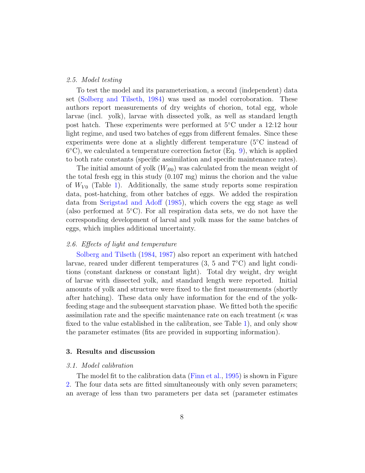### <span id="page-7-0"></span>2.5. Model testing

To test the model and its parameterisation, a second (independent) data set [\(Solberg and Tilseth,](#page-19-2) [1984\)](#page-19-2) was used as model corroboration. These authors report measurements of dry weights of chorion, total egg, whole larvae (incl. yolk), larvae with dissected yolk, as well as standard length post hatch. These experiments were performed at 5◦C under a 12:12 hour light regime, and used two batches of eggs from different females. Since these experiments were done at a slightly different temperature (5◦C instead of 6 ◦C), we calculated a temperature correction factor (Eq. [9\)](#page-5-0), which is applied to both rate constants (specific assimilation and specific maintenance rates).

The initial amount of yolk  $(W_{B0})$  was calculated from the mean weight of the total fresh egg in this study (0.107 mg) minus the chorion and the value of  $W_{V0}$  (Table [1\)](#page-8-0). Additionally, the same study reports some respiration data, post-hatching, from other batches of eggs. We added the respiration data from [Serigstad and Adoff](#page-19-4) [\(1985\)](#page-19-4), which covers the egg stage as well (also performed at  $5^{\circ}$ C). For all respiration data sets, we do not have the corresponding development of larval and yolk mass for the same batches of eggs, which implies additional uncertainty.

# <span id="page-7-1"></span>2.6. Effects of light and temperature

[Solberg and Tilseth](#page-19-2) [\(1984,](#page-19-2) [1987\)](#page-19-3) also report an experiment with hatched larvae, reared under different temperatures  $(3, 5 \text{ and } 7\degree \text{C})$  and light conditions (constant darkness or constant light). Total dry weight, dry weight of larvae with dissected yolk, and standard length were reported. Initial amounts of yolk and structure were fixed to the first measurements (shortly after hatching). These data only have information for the end of the yolkfeeding stage and the subsequent starvation phase. We fitted both the specific assimilation rate and the specific maintenance rate on each treatment ( $\kappa$  was fixed to the value established in the calibration, see Table [1\)](#page-8-0), and only show the parameter estimates (fits are provided in supporting information).

# 3. Results and discussion

### 3.1. Model calibration

The model fit to the calibration data [\(Finn et al.,](#page-17-4) [1995\)](#page-17-4) is shown in Figure [2.](#page-9-0) The four data sets are fitted simultaneously with only seven parameters; an average of less than two parameters per data set (parameter estimates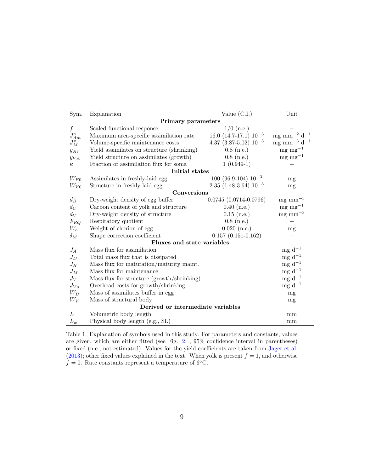| Sym.                              | Explanation                                | Value $(C.I.)$                 | Unit                                |
|-----------------------------------|--------------------------------------------|--------------------------------|-------------------------------------|
| <b>Primary parameters</b>         |                                            |                                |                                     |
| f                                 | Scaled functional response                 | $1/0$ (n.e.)                   |                                     |
| $J_{Am}^a$                        | Maximum area-specific assimilation rate    | $16.0$ $(14.7-17.1)$ $10^{-3}$ | mg $\rm mm^{-2}$ d $^{-1}$          |
| $J^v_M$                           | Volume-specific maintenance costs          | $4.37$ $(3.87-5.02)$ $10^{-3}$ | $mg \text{ mm}^{-3} \text{ d}^{-1}$ |
| $y_{AV}$                          | Yield assimilates on structure (shrinking) | $0.8$ (n.e.)                   | $mg \, mg^{-1}$                     |
| $y_{VA}$                          | Yield structure on assimilates (growth)    | $0.8$ (n.e.)                   | $mg \, mg^{-1}$                     |
| $\kappa$                          | Fraction of assimilation flux for soma     | $1(0.949-1)$                   |                                     |
| Initial states                    |                                            |                                |                                     |
| $W_{B0}$                          | Assimilates in freshly-laid egg            | $100(96.9-104)10^{-3}$         | mg                                  |
| $W_{V0}$                          | Structure in freshly-laid egg              | $2.35$ (1.48-3.64) $10^{-3}$   | mg                                  |
| Conversions                       |                                            |                                |                                     |
| $d_B$                             | Dry-weight density of egg buffer           | $0.0745(0.0714-0.0796)$        | $mg$ mm <sup><math>-3</math></sup>  |
| $d_C$                             | Carbon content of yolk and structure       | $0.40$ (n.e.)                  | $mg \, mg^{-1}$                     |
| $d_V$                             | Dry-weight density of structure            | $0.15$ (n.e.)                  | $mg$ mm <sup><math>-3</math></sup>  |
| $F_{RQ}$                          | Respiratory quotient                       | $0.8$ (n.e.)                   |                                     |
| $W_c$                             | Weight of chorion of egg                   | $0.020$ (n.e.)                 | mg                                  |
| $\delta_M$                        | Shape correction coefficient               | $0.157(0.151-0.162)$           |                                     |
| Fluxes and state variables        |                                            |                                |                                     |
| $J_A$                             | Mass flux for assimilation                 |                                | $mg d^{-1}$                         |
| $J_D$                             | Total mass flux that is dissipated         |                                | mg $\mathrm{d}^{-1}$                |
| $J_H$                             | Mass flux for maturation/maturity maint.   |                                | $mg d^{-1}$                         |
| $J_M$                             | Mass flux for maintenance                  |                                | mg $\mathrm{d}^{-1}$                |
| $J_V$                             | Mass flux for structure (growth/shrinking) |                                | mg $\mathrm{d}^{-1}$                |
| $J_{V}$                           | Overhead costs for growth/shrinking        |                                | $mg d^{-1}$                         |
| $W_B$                             | Mass of assimilates buffer in egg          |                                | mg                                  |
| $W_V$                             | Mass of structural body                    |                                | mg                                  |
| Derived or intermediate variables |                                            |                                |                                     |
| L                                 | Volumetric body length                     |                                | mm                                  |
| $L_w$                             | Physical body length (e.g., SL)            |                                | mm                                  |

<span id="page-8-0"></span>Table 1: Explanation of symbols used in this study. For parameters and constants, values are given, which are either fitted (see Fig. [2;](#page-9-0) , 95% confidence interval in parentheses) or fixed (n.e., not estimated). Values for the yield coefficients are taken from [Jager et al.](#page-18-2) [\(2013\)](#page-18-2); other fixed values explained in the text. When yolk is present  $f = 1$ , and otherwise  $f = 0$ . Rate constants represent a temperature of 6<sup>°</sup>C.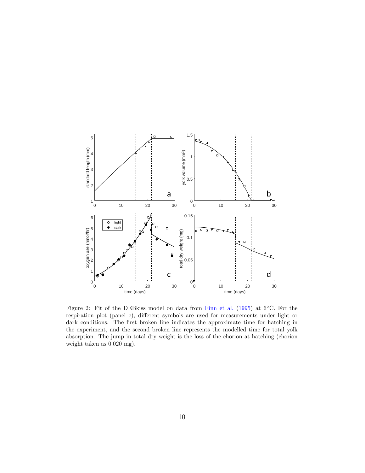

<span id="page-9-0"></span>Figure 2: Fit of the DEBkiss model on data from [Finn et al.](#page-17-4) [\(1995\)](#page-17-4) at 6◦C. For the respiration plot (panel c), different symbols are used for measurements under light or dark conditions. The first broken line indicates the approximate time for hatching in the experiment, and the second broken line represents the modelled time for total yolk absorption. The jump in total dry weight is the loss of the chorion at hatching (chorion weight taken as 0.020 mg).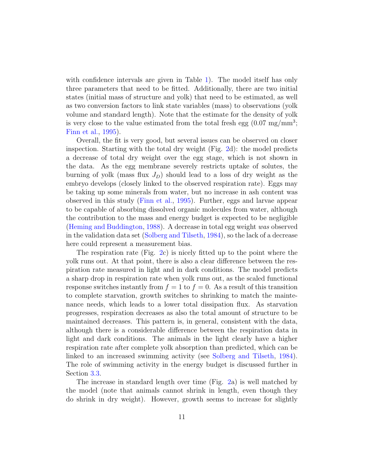with confidence intervals are given in Table [1\)](#page-8-0). The model itself has only three parameters that need to be fitted. Additionally, there are two initial states (initial mass of structure and yolk) that need to be estimated, as well as two conversion factors to link state variables (mass) to observations (yolk volume and standard length). Note that the estimate for the density of yolk is very close to the value estimated from the total fresh egg  $(0.07 \text{ mg/mm}^3)$ ; [Finn et al.,](#page-17-4) [1995\)](#page-17-4).

Overall, the fit is very good, but several issues can be observed on closer inspection. Starting with the total dry weight (Fig. [2d](#page-9-0)): the model predicts a decrease of total dry weight over the egg stage, which is not shown in the data. As the egg membrane severely restricts uptake of solutes, the burning of yolk (mass flux  $J_D$ ) should lead to a loss of dry weight as the embryo develops (closely linked to the observed respiration rate). Eggs may be taking up some minerals from water, but no increase in ash content was observed in this study [\(Finn et al.,](#page-17-4) [1995\)](#page-17-4). Further, eggs and larvae appear to be capable of absorbing dissolved organic molecules from water, although the contribution to the mass and energy budget is expected to be negligible [\(Heming and Buddington,](#page-17-0) [1988\)](#page-17-0). A decrease in total egg weight was observed in the validation data set [\(Solberg and Tilseth,](#page-19-2) [1984\)](#page-19-2), so the lack of a decrease here could represent a measurement bias.

The respiration rate (Fig. [2c](#page-9-0)) is nicely fitted up to the point where the yolk runs out. At that point, there is also a clear difference between the respiration rate measured in light and in dark conditions. The model predicts a sharp drop in respiration rate when yolk runs out, as the scaled functional response switches instantly from  $f = 1$  to  $f = 0$ . As a result of this transition to complete starvation, growth switches to shrinking to match the maintenance needs, which leads to a lower total dissipation flux. As starvation progresses, respiration decreases as also the total amount of structure to be maintained decreases. This pattern is, in general, consistent with the data, although there is a considerable difference between the respiration data in light and dark conditions. The animals in the light clearly have a higher respiration rate after complete yolk absorption than predicted, which can be linked to an increased swimming activity (see [Solberg and Tilseth,](#page-19-2) [1984\)](#page-19-2). The role of swimming activity in the energy budget is discussed further in Section [3.3.](#page-14-0)

The increase in standard length over time (Fig. [2a](#page-9-0)) is well matched by the model (note that animals cannot shrink in length, even though they do shrink in dry weight). However, growth seems to increase for slightly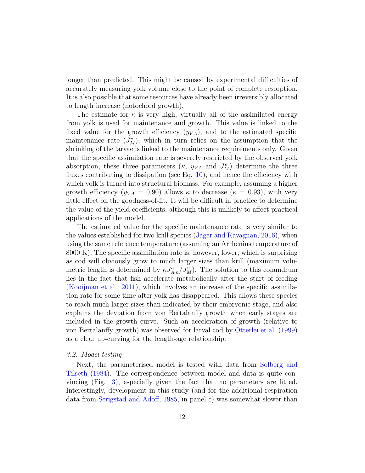longer than predicted. This might be caused by experimental difficulties of accurately measuring yolk volume close to the point of complete resorption. It is also possible that some resources have already been irreversibly allocated to length increase (notochord growth).

The estimate for  $\kappa$  is very high; virtually all of the assimilated energy from yolk is used for maintenance and growth. This value is linked to the fixed value for the growth efficiency  $(y_{VA})$ , and to the estimated specific maintenance rate  $(J_M^v)$ , which in turn relies on the assumption that the shrinking of the larvae is linked to the maintenance requirements only. Given that the specific assimilation rate is severely restricted by the observed yolk absorption, these three parameters  $(\kappa, y_{VA} \text{ and } J_M^v)$  determine the three fluxes contributing to dissipation (see Eq. [10\)](#page-5-1), and hence the efficiency with which yolk is turned into structural biomass. For example, assuming a higher growth efficiency ( $y_{VA} = 0.90$ ) allows  $\kappa$  to decrease ( $\kappa = 0.93$ ), with very little effect on the goodness-of-fit. It will be difficult in practice to determine the value of the yield coefficients, although this is unlikely to affect practical applications of the model.

The estimated value for the specific maintenance rate is very similar to the values established for two krill species [\(Jager and Ravagnan,](#page-18-8) [2016\)](#page-18-8), when using the same reference temperature (assuming an Arrhenius temperature of 8000 K). The specific assimilation rate is, however, lower, which is surprising as cod will obviously grow to much larger sizes than krill (maximum volumetric length is determined by  $\kappa J_{Am}^a/J_M^v$ ). The solution to this conundrum lies in the fact that fish accelerate metabolically after the start of feeding [\(Kooijman et al.,](#page-18-9) [2011\)](#page-18-9), which involves an increase of the specific assimilation rate for some time after yolk has disappeared. This allows these species to reach much larger sizes than indicated by their embryonic stage, and also explains the deviation from von Bertalanffy growth when early stages are included in the growth curve. Such an acceleration of growth (relative to von Bertalanffy growth) was observed for larval cod by [Otterlei et al.](#page-19-5) [\(1999\)](#page-19-5) as a clear up-curving for the length-age relationship.

### 3.2. Model testing

Next, the parameterised model is tested with data from [Solberg and](#page-19-2) [Tilseth](#page-19-2) [\(1984\)](#page-19-2). The correspondence between model and data is quite convincing (Fig. [3\)](#page-12-0), especially given the fact that no parameters are fitted. Interestingly, development in this study (and for the additional respiration data from [Serigstad and Adoff,](#page-19-4) [1985,](#page-19-4) in panel c) was somewhat slower than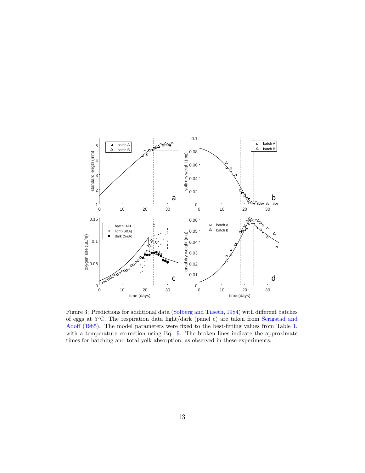

<span id="page-12-0"></span>Figure 3: Predictions for additional data [\(Solberg and Tilseth,](#page-19-2) [1984\)](#page-19-2) with different batches of eggs at 5◦C. The respiration data light/dark (panel c) are taken from [Serigstad and](#page-19-4) [Adoff](#page-19-4) [\(1985\)](#page-19-4). The model parameters were fixed to the best-fitting values from Table [1,](#page-8-0) with a temperature correction using Eq. [9.](#page-5-0) The broken lines indicate the approximate times for hatching and total yolk absorption, as observed in these experiments.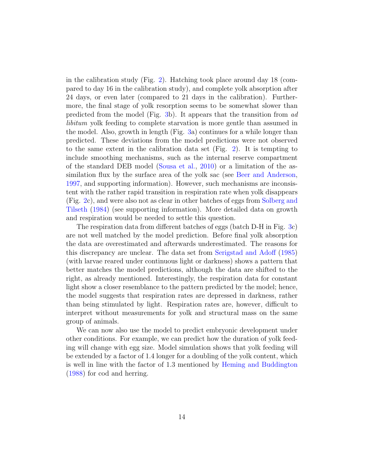in the calibration study (Fig. [2\)](#page-9-0). Hatching took place around day 18 (compared to day 16 in the calibration study), and complete yolk absorption after 24 days, or even later (compared to 21 days in the calibration). Furthermore, the final stage of yolk resorption seems to be somewhat slower than predicted from the model (Fig. [3b](#page-12-0)). It appears that the transition from ad libitum yolk feeding to complete starvation is more gentle than assumed in the model. Also, growth in length (Fig. [3a](#page-12-0)) continues for a while longer than predicted. These deviations from the model predictions were not observed to the same extent in the calibration data set (Fig. [2\)](#page-9-0). It is tempting to include smoothing mechanisms, such as the internal reserve compartment of the standard DEB model [\(Sousa et al.,](#page-19-1) [2010\)](#page-19-1) or a limitation of the assimilation flux by the surface area of the yolk sac (see [Beer and Anderson,](#page-17-1) [1997,](#page-17-1) and supporting information). However, such mechanisms are inconsistent with the rather rapid transition in respiration rate when yolk disappears (Fig. [2c](#page-9-0)), and were also not as clear in other batches of eggs from [Solberg and](#page-19-2) [Tilseth](#page-19-2) [\(1984\)](#page-19-2) (see supporting information). More detailed data on growth and respiration would be needed to settle this question.

The respiration data from different batches of eggs (batch D-H in Fig. [3c](#page-12-0)) are not well matched by the model prediction. Before final yolk absorption the data are overestimated and afterwards underestimated. The reasons for this discrepancy are unclear. The data set from [Serigstad and Adoff](#page-19-4) [\(1985\)](#page-19-4) (with larvae reared under continuous light or darkness) shows a pattern that better matches the model predictions, although the data are shifted to the right, as already mentioned. Interestingly, the respiration data for constant light show a closer resemblance to the pattern predicted by the model; hence, the model suggests that respiration rates are depressed in darkness, rather than being stimulated by light. Respiration rates are, however, difficult to interpret without measurements for yolk and structural mass on the same group of animals.

We can now also use the model to predict embryonic development under other conditions. For example, we can predict how the duration of yolk feeding will change with egg size. Model simulation shows that yolk feeding will be extended by a factor of 1.4 longer for a doubling of the yolk content, which is well in line with the factor of 1.3 mentioned by [Heming and Buddington](#page-17-0) [\(1988\)](#page-17-0) for cod and herring.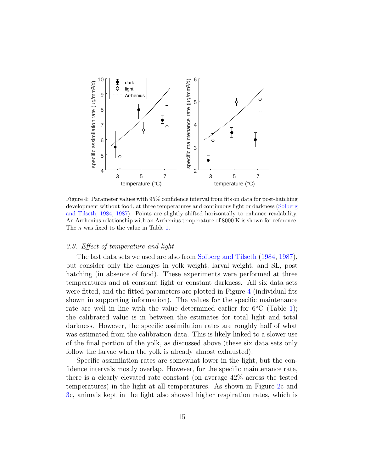

<span id="page-14-1"></span>Figure 4: Parameter values with 95% confidence interval from fits on data for post-hatching development without food, at three temperatures and continuous light or darkness [\(Solberg](#page-19-2) [and Tilseth,](#page-19-2) [1984,](#page-19-2) [1987\)](#page-19-3). Points are slightly shifted horizontally to enhance readability. An Arrhenius relationship with an Arrhenius temperature of 8000 K is shown for reference. The  $\kappa$  was fixed to the value in Table [1.](#page-8-0)

# <span id="page-14-0"></span>3.3. Effect of temperature and light

The last data sets we used are also from [Solberg and Tilseth](#page-19-2) [\(1984,](#page-19-2) [1987\)](#page-19-3), but consider only the changes in yolk weight, larval weight, and SL, post hatching (in absence of food). These experiments were performed at three temperatures and at constant light or constant darkness. All six data sets were fitted, and the fitted parameters are plotted in Figure [4](#page-14-1) (individual fits shown in supporting information). The values for the specific maintenance rate are well in line with the value determined earlier for  $6°C$  (Table [1\)](#page-8-0); the calibrated value is in between the estimates for total light and total darkness. However, the specific assimilation rates are roughly half of what was estimated from the calibration data. This is likely linked to a slower use of the final portion of the yolk, as discussed above (these six data sets only follow the larvae when the yolk is already almost exhausted).

Specific assimilation rates are somewhat lower in the light, but the confidence intervals mostly overlap. However, for the specific maintenance rate, there is a clearly elevated rate constant (on average 42% across the tested temperatures) in the light at all temperatures. As shown in Figure [2c](#page-9-0) and [3c](#page-12-0), animals kept in the light also showed higher respiration rates, which is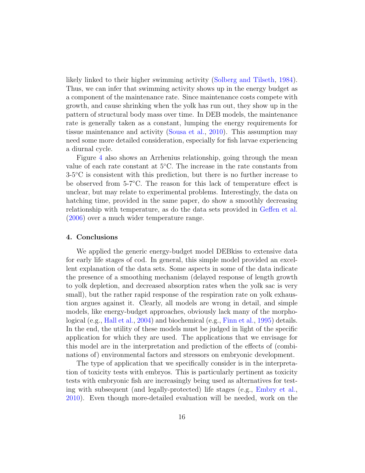likely linked to their higher swimming activity [\(Solberg and Tilseth,](#page-19-2) [1984\)](#page-19-2). Thus, we can infer that swimming activity shows up in the energy budget as a component of the maintenance rate. Since maintenance costs compete with growth, and cause shrinking when the yolk has run out, they show up in the pattern of structural body mass over time. In DEB models, the maintenance rate is generally taken as a constant, lumping the energy requirements for tissue maintenance and activity [\(Sousa et al.,](#page-19-1) [2010\)](#page-19-1). This assumption may need some more detailed consideration, especially for fish larvae experiencing a diurnal cycle.

Figure [4](#page-14-1) also shows an Arrhenius relationship, going through the mean value of each rate constant at 5◦C. The increase in the rate constants from 3-5◦C is consistent with this prediction, but there is no further increase to be observed from 5-7◦C. The reason for this lack of temperature effect is unclear, but may relate to experimental problems. Interestingly, the data on hatching time, provided in the same paper, do show a smoothly decreasing relationship with temperature, as do the data sets provided in [Geffen et al.](#page-17-5) [\(2006\)](#page-17-5) over a much wider temperature range.

## 4. Conclusions

We applied the generic energy-budget model DEBkiss to extensive data for early life stages of cod. In general, this simple model provided an excellent explanation of the data sets. Some aspects in some of the data indicate the presence of a smoothing mechanism (delayed response of length growth to yolk depletion, and decreased absorption rates when the yolk sac is very small), but the rather rapid response of the respiration rate on yolk exhaustion argues against it. Clearly, all models are wrong in detail, and simple models, like energy-budget approaches, obviously lack many of the morphological (e.g., [Hall et al.,](#page-17-2) [2004\)](#page-17-2) and biochemical (e.g., [Finn et al.,](#page-17-4) [1995\)](#page-17-4) details. In the end, the utility of these models must be judged in light of the specific application for which they are used. The applications that we envisage for this model are in the interpretation and prediction of the effects of (combinations of) environmental factors and stressors on embryonic development.

The type of application that we specifically consider is in the interpretation of toxicity tests with embryos. This is particularly pertinent as toxicity tests with embryonic fish are increasingly being used as alternatives for testing with subsequent (and legally-protected) life stages (e.g., [Embry et al.,](#page-17-6) [2010\)](#page-17-6). Even though more-detailed evaluation will be needed, work on the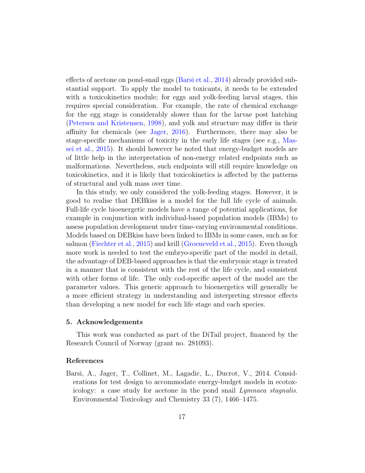effects of acetone on pond-snail eggs [\(Barsi et al.,](#page-16-0) [2014\)](#page-16-0) already provided substantial support. To apply the model to toxicants, it needs to be extended with a toxicokinetics module; for eggs and yolk-feeding larval stages, this requires special consideration. For example, the rate of chemical exchange for the egg stage is considerably slower than for the larvae post hatching [\(Petersen and Kristensen,](#page-19-0) [1998\)](#page-19-0), and yolk and structure may differ in their affinity for chemicals (see [Jager,](#page-18-5) [2016\)](#page-18-5). Furthermore, there may also be stage-specific mechanisms of toxicity in the early life stages (see e.g., [Mas](#page-18-1)[sei et al.,](#page-18-1) [2015\)](#page-18-1). It should however be noted that energy-budget models are of little help in the interpretation of non-energy related endpoints such as malformations. Nevertheless, such endpoints will still require knowledge on toxicokinetics, and it is likely that toxicokinetics is affected by the patterns of structural and yolk mass over time.

In this study, we only considered the yolk-feeding stages. However, it is good to realise that DEBkiss is a model for the full life cycle of animals. Full-life cycle bioenergetic models have a range of potential applications, for example in conjunction with individual-based population models (IBMs) to assess population development under time-varying environmental conditions. Models based on DEBkiss have been linked to IBMs in some cases, such as for salmon [\(Fiechter et al.,](#page-17-7) [2015\)](#page-17-7) and krill [\(Groeneveld et al.,](#page-17-8) [2015\)](#page-17-8). Even though more work is needed to test the embryo-specific part of the model in detail, the advantage of DEB-based approaches is that the embryonic stage is treated in a manner that is consistent with the rest of the life cycle, and consistent with other forms of life. The only cod-specific aspect of the model are the parameter values. This generic approach to bioenergetics will generally be a more efficient strategy in understanding and interpreting stressor effects than developing a new model for each life stage and each species.

# 5. Acknowledgements

This work was conducted as part of the DiTail project, financed by the Research Council of Norway (grant no. 281093).

## References

<span id="page-16-0"></span>Barsi, A., Jager, T., Collinet, M., Lagadic, L., Ducrot, V., 2014. Considerations for test design to accommodate energy-budget models in ecotoxicology: a case study for acetone in the pond snail Lymnaea stagnalis. Environmental Toxicology and Chemistry 33 (7), 1466–1475.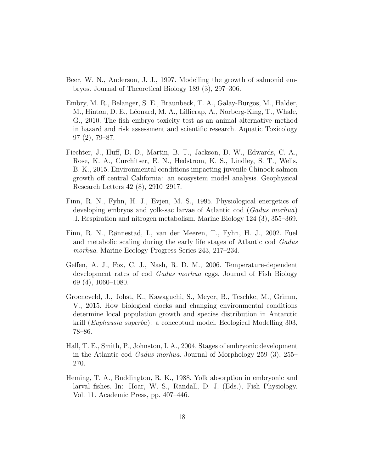- <span id="page-17-1"></span>Beer, W. N., Anderson, J. J., 1997. Modelling the growth of salmonid embryos. Journal of Theoretical Biology 189 (3), 297–306.
- <span id="page-17-6"></span>Embry, M. R., Belanger, S. E., Braunbeck, T. A., Galay-Burgos, M., Halder, M., Hinton, D. E., Léonard, M. A., Lillicrap, A., Norberg-King, T., Whale, G., 2010. The fish embryo toxicity test as an animal alternative method in hazard and risk assessment and scientific research. Aquatic Toxicology 97 (2), 79–87.
- <span id="page-17-7"></span>Fiechter, J., Huff, D. D., Martin, B. T., Jackson, D. W., Edwards, C. A., Rose, K. A., Curchitser, E. N., Hedstrom, K. S., Lindley, S. T., Wells, B. K., 2015. Environmental conditions impacting juvenile Chinook salmon growth off central California: an ecosystem model analysis. Geophysical Research Letters 42 (8), 2910–2917.
- <span id="page-17-4"></span>Finn, R. N., Fyhn, H. J., Evjen, M. S., 1995. Physiological energetics of developing embryos and yolk-sac larvae of Atlantic cod (*Gadus morhua*) .I. Respiration and nitrogen metabolism. Marine Biology 124 (3), 355–369.
- <span id="page-17-3"></span>Finn, R. N., Rønnestad, I., van der Meeren, T., Fyhn, H. J., 2002. Fuel and metabolic scaling during the early life stages of Atlantic cod Gadus morhua. Marine Ecology Progress Series 243, 217–234.
- <span id="page-17-5"></span>Geffen, A. J., Fox, C. J., Nash, R. D. M., 2006. Temperature-dependent development rates of cod Gadus morhua eggs. Journal of Fish Biology 69 (4), 1060–1080.
- <span id="page-17-8"></span>Groeneveld, J., Johst, K., Kawaguchi, S., Meyer, B., Teschke, M., Grimm, V., 2015. How biological clocks and changing environmental conditions determine local population growth and species distribution in Antarctic krill (Euphausia superba): a conceptual model. Ecological Modelling 303, 78–86.
- <span id="page-17-2"></span>Hall, T. E., Smith, P., Johnston, I. A., 2004. Stages of embryonic development in the Atlantic cod Gadus morhua. Journal of Morphology 259 (3), 255– 270.
- <span id="page-17-0"></span>Heming, T. A., Buddington, R. K., 1988. Yolk absorption in embryonic and larval fishes. In: Hoar, W. S., Randall, D. J. (Eds.), Fish Physiology. Vol. 11. Academic Press, pp. 407–446.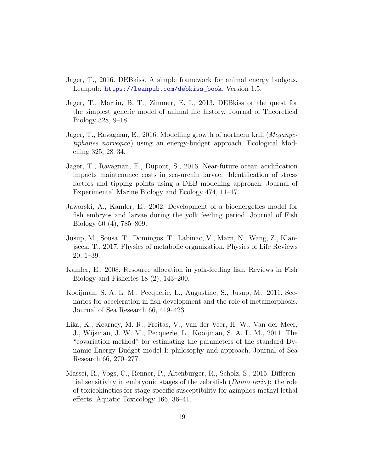- <span id="page-18-5"></span>Jager, T., 2016. DEBkiss. A simple framework for animal energy budgets. Leanpub: [https://leanpub.com/debkiss\\_book](https://leanpub.com/debkiss_book), Version 1.5.
- <span id="page-18-2"></span>Jager, T., Martin, B. T., Zimmer, E. I., 2013. DEBkiss or the quest for the simplest generic model of animal life history. Journal of Theoretical Biology 328, 9–18.
- <span id="page-18-8"></span>Jager, T., Ravagnan, E., 2016. Modelling growth of northern krill (Meganyctiphanes norvegica) using an energy-budget approach. Ecological Modelling 325, 28–34.
- <span id="page-18-6"></span>Jager, T., Ravagnan, E., Dupont, S., 2016. Near-future ocean acidification impacts maintenance costs in sea-urchin larvae: Identification of stress factors and tipping points using a DEB modelling approach. Journal of Experimental Marine Biology and Ecology 474, 11–17.
- <span id="page-18-3"></span>Jaworski, A., Kamler, E., 2002. Development of a bioenergetics model for fish embryos and larvae during the yolk feeding period. Journal of Fish Biology 60 (4), 785–809.
- <span id="page-18-4"></span>Jusup, M., Sousa, T., Domingos, T., Labinac, V., Marn, N., Wang, Z., Klanjscek, T., 2017. Physics of metabolic organization. Physics of Life Reviews 20, 1–39.
- <span id="page-18-0"></span>Kamler, E., 2008. Resource allocation in yolk-feeding fish. Reviews in Fish Biology and Fisheries 18 (2), 143–200.
- <span id="page-18-9"></span>Kooijman, S. A. L. M., Pecquerie, L., Augustine, S., Jusup, M., 2011. Scenarios for acceleration in fish development and the role of metamorphosis. Journal of Sea Research 66, 419–423.
- <span id="page-18-7"></span>Lika, K., Kearney, M. R., Freitas, V., Van der Veer, H. W., Van der Meer, J., Wijsman, J. W. M., Pecquerie, L., Kooijman, S. A. L. M., 2011. The "covariation method" for estimating the parameters of the standard Dynamic Energy Budget model I: philosophy and approach. Journal of Sea Research 66, 270–277.
- <span id="page-18-1"></span>Massei, R., Vogs, C., Renner, P., Altenburger, R., Scholz, S., 2015. Differential sensitivity in embryonic stages of the zebrafish (Danio rerio): the role of toxicokinetics for stage-specific susceptibility for azinphos-methyl lethal effects. Aquatic Toxicology 166, 36–41.